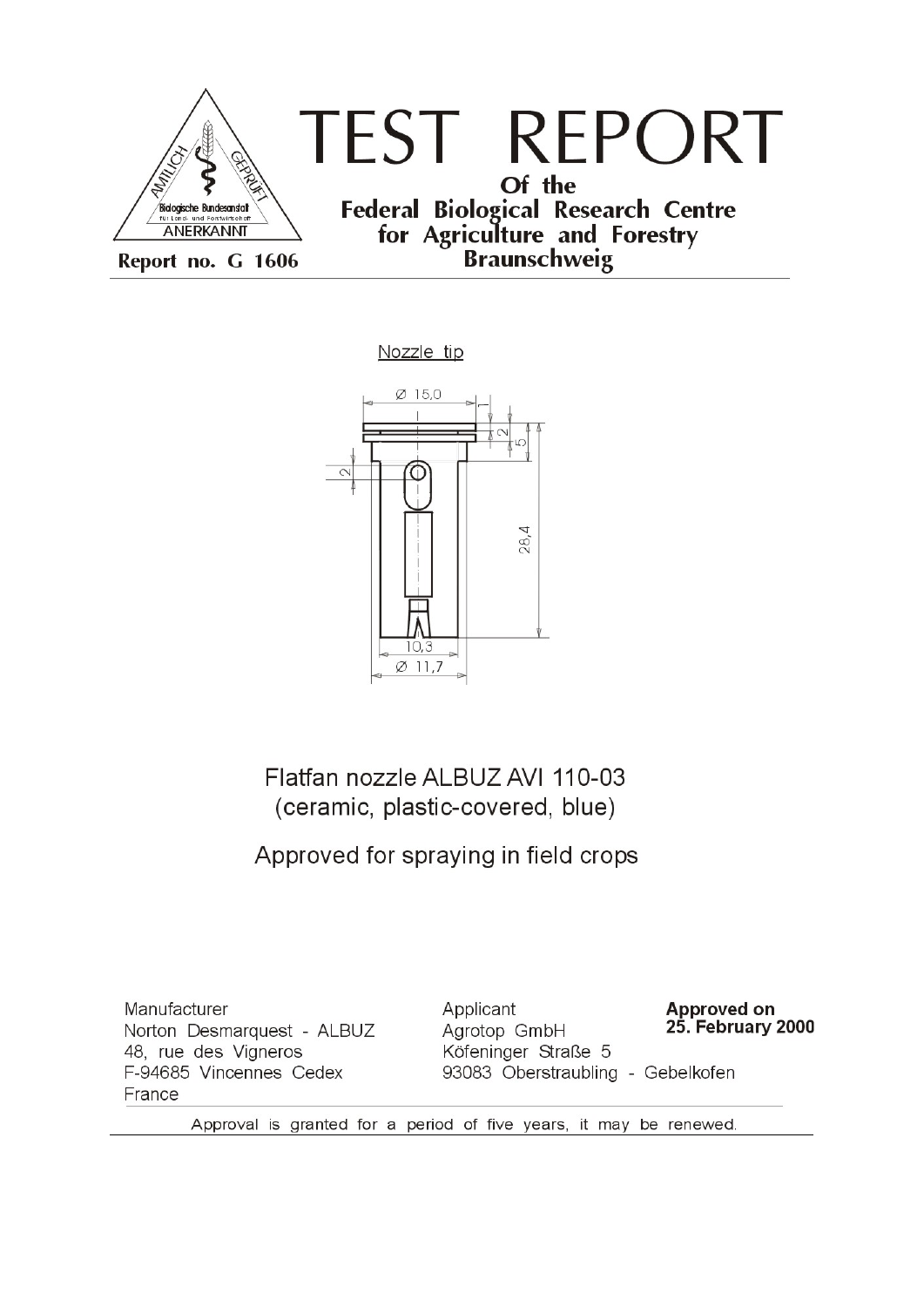

Nozzle tip



Flatfan nozzle ALBUZ AVI 110-03 (ceramic, plastic-covered, blue)

Approved for spraying in field crops

Manufacturer Norton Desmarquest - ALBUZ 48, rue des Vigneros F-94685 Vincennes Cedex France

Applicant **Approved on 25. February 2000** Agrotop GmbH Köfeninger Straße 5 93083 Oberstraubling - Gebelkofen

Approval is granted for a period of five years, it may be renewed.